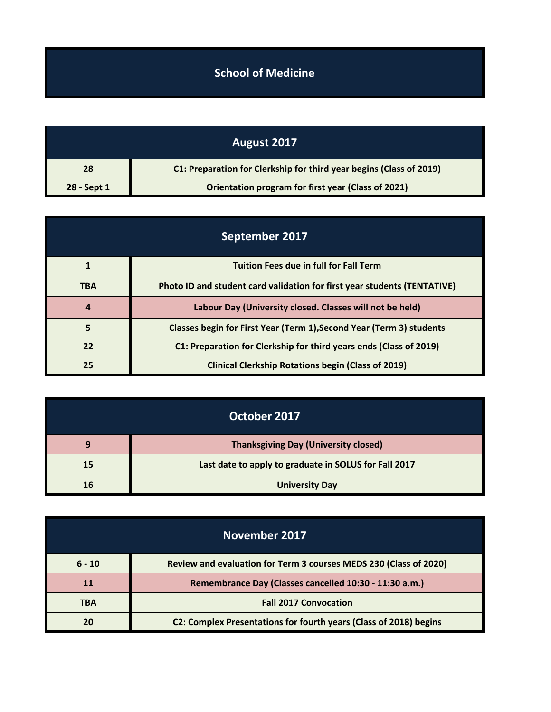## **School of Medicine**

| August 2017 |                                                                     |
|-------------|---------------------------------------------------------------------|
| 28          | C1: Preparation for Clerkship for third year begins (Class of 2019) |
| 28 - Sept 1 | Orientation program for first year (Class of 2021)                  |

| September 2017 |                                                                          |
|----------------|--------------------------------------------------------------------------|
|                | <b>Tuition Fees due in full for Fall Term</b>                            |
| <b>TBA</b>     | Photo ID and student card validation for first year students (TENTATIVE) |
| 4              | Labour Day (University closed. Classes will not be held)                 |
| 5              | Classes begin for First Year (Term 1), Second Year (Term 3) students     |
| 22             | C1: Preparation for Clerkship for third years ends (Class of 2019)       |
| 25             | <b>Clinical Clerkship Rotations begin (Class of 2019)</b>                |

| October 2017 |                                                       |
|--------------|-------------------------------------------------------|
| O            | <b>Thanksgiving Day (University closed)</b>           |
| 15           | Last date to apply to graduate in SOLUS for Fall 2017 |
| 16           | <b>University Day</b>                                 |

| November 2017 |                                                                   |
|---------------|-------------------------------------------------------------------|
| $6 - 10$      | Review and evaluation for Term 3 courses MEDS 230 (Class of 2020) |
| 11            | Remembrance Day (Classes cancelled 10:30 - 11:30 a.m.)            |
| <b>TBA</b>    | <b>Fall 2017 Convocation</b>                                      |
|               | C2: Complex Presentations for fourth years (Class of 2018) begins |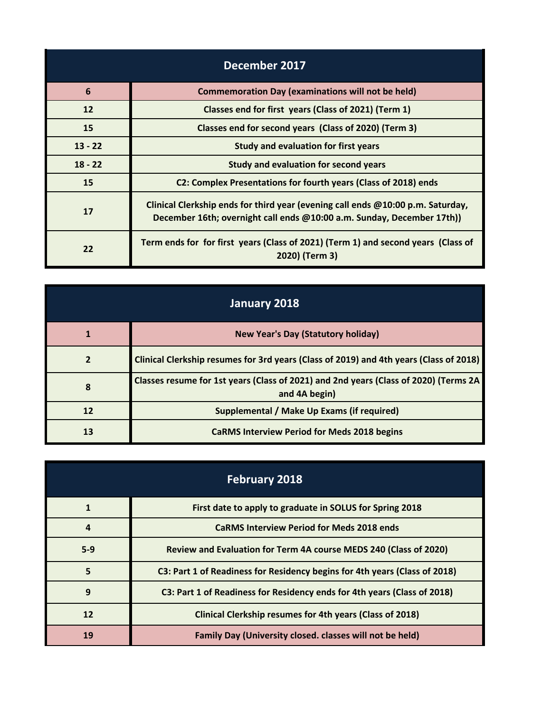| December 2017   |                                                                                                                                                           |
|-----------------|-----------------------------------------------------------------------------------------------------------------------------------------------------------|
| $6\phantom{1}6$ | <b>Commemoration Day (examinations will not be held)</b>                                                                                                  |
| 12              | Classes end for first years (Class of 2021) (Term 1)                                                                                                      |
| 15              | Classes end for second years (Class of 2020) (Term 3)                                                                                                     |
| $13 - 22$       | <b>Study and evaluation for first years</b>                                                                                                               |
| $18 - 22$       | Study and evaluation for second years                                                                                                                     |
| 15              | C2: Complex Presentations for fourth years (Class of 2018) ends                                                                                           |
| 17              | Clinical Clerkship ends for third year (evening call ends @10:00 p.m. Saturday,<br>December 16th; overnight call ends @10:00 a.m. Sunday, December 17th)) |
| 22              | Term ends for for first years (Class of 2021) (Term 1) and second years (Class of<br>2020) (Term 3)                                                       |

| January 2018   |                                                                                                       |
|----------------|-------------------------------------------------------------------------------------------------------|
|                | <b>New Year's Day (Statutory holiday)</b>                                                             |
| $\overline{2}$ | Clinical Clerkship resumes for 3rd years (Class of 2019) and 4th years (Class of 2018)                |
| 8              | Classes resume for 1st years (Class of 2021) and 2nd years (Class of 2020) (Terms 2A<br>and 4A begin) |
| 12             | Supplemental / Make Up Exams (if required)                                                            |
| 13             | <b>CaRMS Interview Period for Meds 2018 begins</b>                                                    |

| <b>February 2018</b> |                                                                            |
|----------------------|----------------------------------------------------------------------------|
| 1                    | First date to apply to graduate in SOLUS for Spring 2018                   |
| 4                    | <b>CaRMS Interview Period for Meds 2018 ends</b>                           |
| $5-9$                | Review and Evaluation for Term 4A course MEDS 240 (Class of 2020)          |
| 5                    | C3: Part 1 of Readiness for Residency begins for 4th years (Class of 2018) |
| 9                    | C3: Part 1 of Readiness for Residency ends for 4th years (Class of 2018)   |
| 12                   | Clinical Clerkship resumes for 4th years (Class of 2018)                   |
| 19                   | Family Day (University closed. classes will not be held)                   |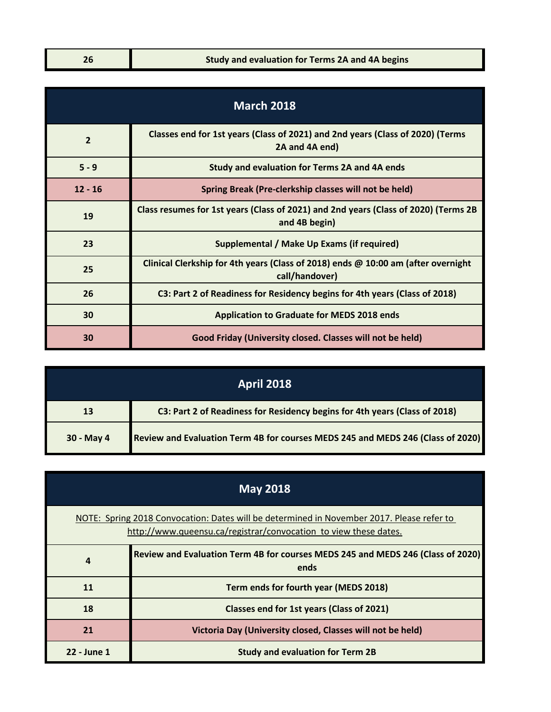| <b>March 2018</b> |                                                                                                      |
|-------------------|------------------------------------------------------------------------------------------------------|
| $\overline{2}$    | Classes end for 1st years (Class of 2021) and 2nd years (Class of 2020) (Terms<br>2A and 4A end)     |
| $5 - 9$           | Study and evaluation for Terms 2A and 4A ends                                                        |
| $12 - 16$         | Spring Break (Pre-clerkship classes will not be held)                                                |
| 19                | Class resumes for 1st years (Class of 2021) and 2nd years (Class of 2020) (Terms 2B<br>and 4B begin) |
| 23                | Supplemental / Make Up Exams (if required)                                                           |
| 25                | Clinical Clerkship for 4th years (Class of 2018) ends @ 10:00 am (after overnight<br>call/handover)  |
| 26                | C3: Part 2 of Readiness for Residency begins for 4th years (Class of 2018)                           |
| 30                | <b>Application to Graduate for MEDS 2018 ends</b>                                                    |
| 30                | Good Friday (University closed. Classes will not be held)                                            |

| <b>April 2018</b> |                                                                                 |
|-------------------|---------------------------------------------------------------------------------|
| 13                | C3: Part 2 of Readiness for Residency begins for 4th years (Class of 2018)      |
| 30 - May 4        | Review and Evaluation Term 4B for courses MEDS 245 and MEDS 246 (Class of 2020) |

| <b>May 2018</b>                                                                                                                                               |                                                                                         |
|---------------------------------------------------------------------------------------------------------------------------------------------------------------|-----------------------------------------------------------------------------------------|
| NOTE: Spring 2018 Convocation: Dates will be determined in November 2017. Please refer to<br>http://www.queensu.ca/registrar/convocation to view these dates. |                                                                                         |
| 4                                                                                                                                                             | Review and Evaluation Term 4B for courses MEDS 245 and MEDS 246 (Class of 2020)<br>ends |
| 11                                                                                                                                                            | Term ends for fourth year (MEDS 2018)                                                   |
| 18                                                                                                                                                            | Classes end for 1st years (Class of 2021)                                               |
| 21                                                                                                                                                            | Victoria Day (University closed, Classes will not be held)                              |
| 22 - June 1                                                                                                                                                   | <b>Study and evaluation for Term 2B</b>                                                 |